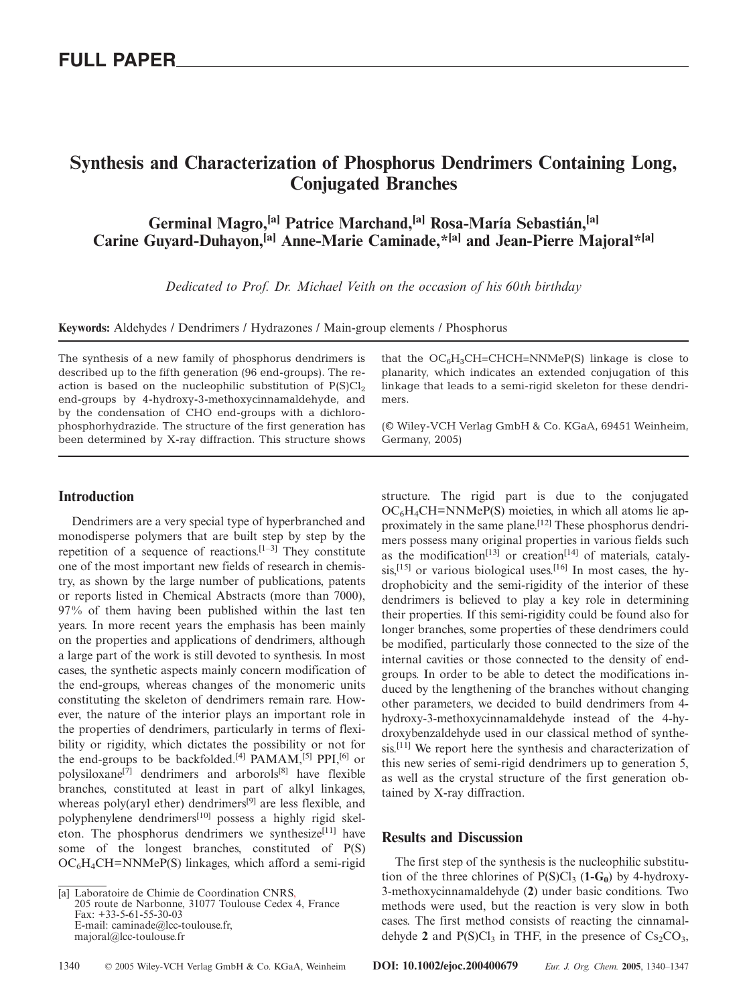# **Synthesis and Characterization of Phosphorus Dendrimers Containing Long, Conjugated Branches**

**Germinal Magro,[a] Patrice Marchand,[a] Rosa-María Sebastián,[a] Carine Guyard-Duhayon,[a] Anne-Marie Caminade,\*[a] and Jean-Pierre Majoral\*[a]**

*Dedicated to Prof. Dr. Michael Veith on the occasion of his 60th birthday*

**Keywords:** Aldehydes / Dendrimers / Hydrazones / Main-group elements / Phosphorus

The synthesis of a new family of phosphorus dendrimers is described up to the fifth generation (96 end-groups). The reaction is based on the nucleophilic substitution of  $P(S)Cl<sub>2</sub>$ end-groups by 4-hydroxy-3-methoxycinnamaldehyde, and by the condensation of CHO end-groups with a dichlorophosphorhydrazide. The structure of the first generation has been determined by X-ray diffraction. This structure shows that the  $OC<sub>6</sub>H<sub>3</sub>CH=CHCH=NNMeP(S)$  linkage is close to planarity, which indicates an extended conjugation of this linkage that leads to a semi-rigid skeleton for these dendrimers.

(© Wiley-VCH Verlag GmbH & Co. KGaA, 69451 Weinheim, Germany, 2005)

structure. The rigid part is due to the conjugated

### **Introduction**

Dendrimers are a very special type of hyperbranched and monodisperse polymers that are built step by step by the repetition of a sequence of reactions.<sup> $[1-3]$ </sup> They constitute one of the most important new fields of research in chemistry, as shown by the large number of publications, patents or reports listed in Chemical Abstracts (more than 7000), 97% of them having been published within the last ten years. In more recent years the emphasis has been mainly on the properties and applications of dendrimers, although a large part of the work is still devoted to synthesis. In most cases, the synthetic aspects mainly concern modification of the end-groups, whereas changes of the monomeric units constituting the skeleton of dendrimers remain rare. However, the nature of the interior plays an important role in the properties of dendrimers, particularly in terms of flexibility or rigidity, which dictates the possibility or not for the end-groups to be backfolded.<sup>[4]</sup> PAMAM,<sup>[5]</sup> PPI,<sup>[6]</sup> or polysiloxane[7] dendrimers and arborols[8] have flexible branches, constituted at least in part of alkyl linkages, whereas poly(aryl ether) dendrimers<sup>[9]</sup> are less flexible, and polyphenylene dendrimers<sup>[10]</sup> possess a highly rigid skeleton. The phosphorus dendrimers we synthesize<sup>[11]</sup> have some of the longest branches, constituted of P(S)  $OC<sub>6</sub>H<sub>4</sub>CH=NNMeP(S)$  linkages, which afford a semi-rigid

 $OC<sub>6</sub>H<sub>4</sub>CH=NNMeP(S)$  moieties, in which all atoms lie approximately in the same plane.[12] These phosphorus dendrimers possess many original properties in various fields such as the modification<sup>[13]</sup> or creation<sup>[14]</sup> of materials, catalysis,<sup>[15]</sup> or various biological uses.<sup>[16]</sup> In most cases, the hydrophobicity and the semi-rigidity of the interior of these dendrimers is believed to play a key role in determining their properties. If this semi-rigidity could be found also for longer branches, some properties of these dendrimers could be modified, particularly those connected to the size of the internal cavities or those connected to the density of endgroups. In order to be able to detect the modifications induced by the lengthening of the branches without changing other parameters, we decided to build dendrimers from 4 hydroxy-3-methoxycinnamaldehyde instead of the 4-hydroxybenzaldehyde used in our classical method of synthesis.<sup>[11]</sup> We report here the synthesis and characterization of this new series of semi-rigid dendrimers up to generation 5, as well as the crystal structure of the first generation obtained by X-ray diffraction.

### **Results and Discussion**

The first step of the synthesis is the nucleophilic substitution of the three chlorines of  $P(S)Cl_3$  (1-G<sub>0</sub>) by 4-hydroxy-3-methoxycinnamaldehyde (**2**) under basic conditions. Two methods were used, but the reaction is very slow in both cases. The first method consists of reacting the cinnamaldehyde 2 and  $P(S)Cl_3$  in THF, in the presence of  $Cs_2CO_3$ ,

<sup>[</sup>a] Laboratoire de Chimie de Coordination CNRS, 205 route de Narbonne, 31077 Toulouse Cedex 4, France Fax: +33-5-61-55-30-03 E-mail: caminade@lcc-toulouse.fr, majoral@lcc-toulouse.fr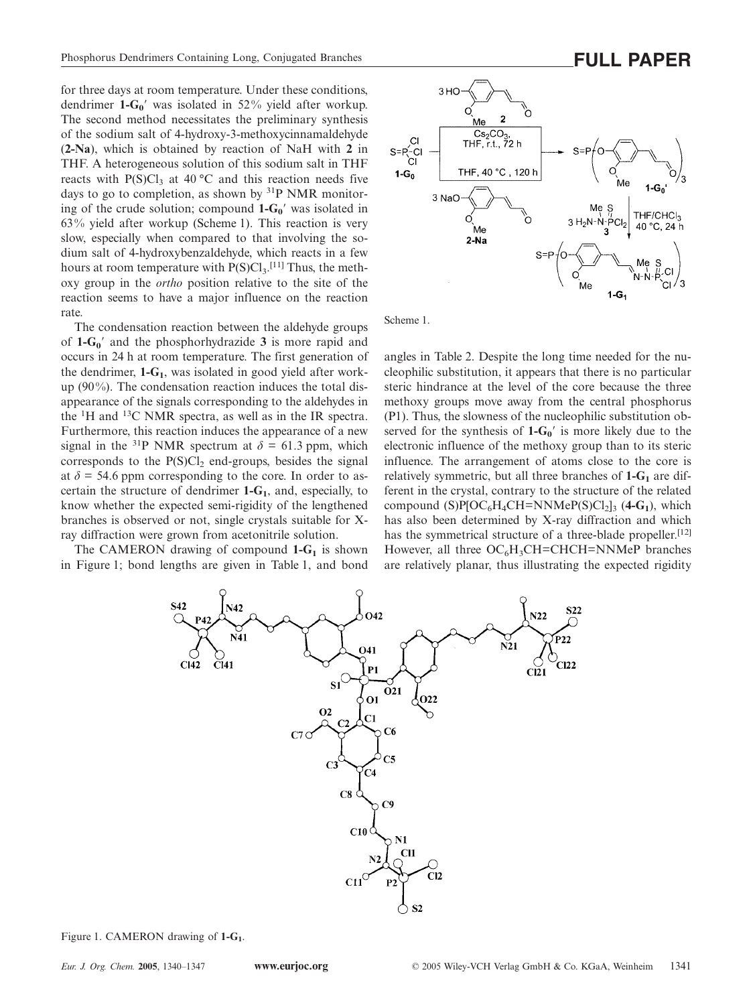for three days at room temperature. Under these conditions, dendrimer **1-G0**- was isolated in 52% yield after workup. The second method necessitates the preliminary synthesis of the sodium salt of 4-hydroxy-3-methoxycinnamaldehyde (**2-Na**), which is obtained by reaction of NaH with **2** in THF. A heterogeneous solution of this sodium salt in THF reacts with  $P(S)Cl<sub>3</sub>$  at 40 °C and this reaction needs five days to go to completion, as shown by  $^{31}P$  NMR monitoring of the crude solution; compound  $1-G_0'$  was isolated in 63% yield after workup (Scheme 1). This reaction is very slow, especially when compared to that involving the sodium salt of 4-hydroxybenzaldehyde, which reacts in a few hours at room temperature with  $P(S)Cl_3$ .<sup>[11]</sup> Thus, the methoxy group in the *ortho* position relative to the site of the reaction seems to have a major influence on the reaction rate.

The condensation reaction between the aldehyde groups of **1-G0**- and the phosphorhydrazide **3** is more rapid and occurs in 24 h at room temperature. The first generation of the dendrimer,  $1 - G_1$ , was isolated in good yield after workup (90%). The condensation reaction induces the total disappearance of the signals corresponding to the aldehydes in the  ${}^{1}$ H and  ${}^{13}$ C NMR spectra, as well as in the IR spectra. Furthermore, this reaction induces the appearance of a new signal in the <sup>31</sup>P NMR spectrum at  $\delta = 61.3$  ppm, which corresponds to the  $P(S)Cl<sub>2</sub>$  end-groups, besides the signal at  $\delta$  = 54.6 ppm corresponding to the core. In order to ascertain the structure of dendrimer **1-G1**, and, especially, to know whether the expected semi-rigidity of the lengthened branches is observed or not, single crystals suitable for Xray diffraction were grown from acetonitrile solution.

The CAMERON drawing of compound  $1-G<sub>1</sub>$  is shown in Figure 1; bond lengths are given in Table 1, and bond



Scheme 1.

angles in Table 2. Despite the long time needed for the nucleophilic substitution, it appears that there is no particular steric hindrance at the level of the core because the three methoxy groups move away from the central phosphorus (P1). Thus, the slowness of the nucleophilic substitution observed for the synthesis of  $1 - G_0'$  is more likely due to the electronic influence of the methoxy group than to its steric influence. The arrangement of atoms close to the core is relatively symmetric, but all three branches of  $1-G_1$  are different in the crystal, contrary to the structure of the related compound  $(S)P[OC_6H_4CH=NNMeP(S)Cl_2]$ <sub>3</sub> (4-G<sub>1</sub>), which has also been determined by X-ray diffraction and which has the symmetrical structure of a three-blade propeller.<sup>[12]</sup> However, all three  $OC<sub>6</sub>H<sub>3</sub>CH=CHCH=NNMeP$  branches are relatively planar, thus illustrating the expected rigidity



Figure 1. CAMERON drawing of **1-G1**.

 $1-G.$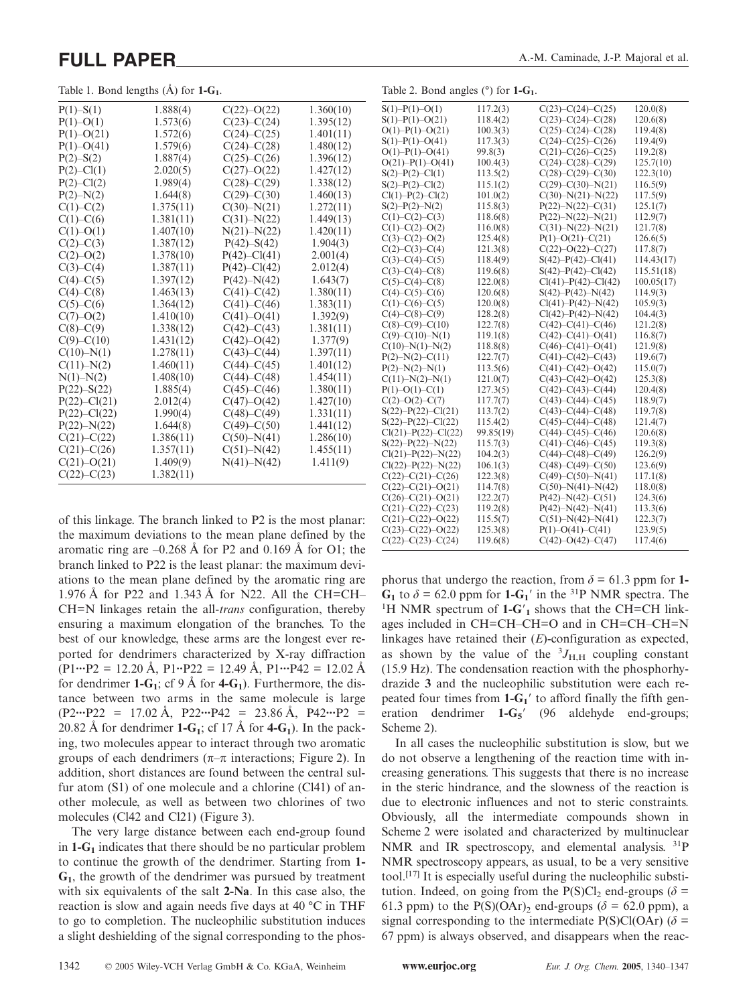Table 1. Bond lengths  $(\hat{A})$  for  $1-G_1$ .

| $P(1) - S(1)$    | 1.888(4)  | $C(22)-O(22)$    | 1.360(10) |
|------------------|-----------|------------------|-----------|
| $P(1) - O(1)$    | 1.573(6)  | $C(23) - C(24)$  | 1.395(12) |
| $P(1)$ –O(21)    | 1.572(6)  | $C(24) - C(25)$  | 1.401(11) |
| $P(1) - O(41)$   | 1.579(6)  | $C(24)-C(28)$    | 1.480(12) |
| $P(2) - S(2)$    | 1.887(4)  | $C(25)-C(26)$    | 1.396(12) |
| $P(2) - Cl(1)$   | 2.020(5)  | $C(27)-O(22)$    | 1.427(12) |
| $P(2)$ –Cl(2)    | 1.989(4)  | $C(28)-C(29)$    | 1.338(12) |
| $P(2) - N(2)$    | 1.644(8)  | $C(29) - C(30)$  | 1.460(13) |
| $C(1) - C(2)$    | 1.375(11) | $C(30) - N(21)$  | 1.272(11) |
| $C(1)$ – $C(6)$  | 1.381(11) | $C(31) - N(22)$  | 1.449(13) |
| $C(1)-O(1)$      | 1.407(10) | $N(21) - N(22)$  | 1.420(11) |
| $C(2) - C(3)$    | 1.387(12) | $P(42) - S(42)$  | 1.904(3)  |
| $C(2) - O(2)$    | 1.378(10) | $P(42) - C1(41)$ | 2.001(4)  |
| $C(3) - C(4)$    | 1.387(11) | $P(42) - C1(42)$ | 2.012(4)  |
| $C(4) - C(5)$    | 1.397(12) | $P(42) - N(42)$  | 1.643(7)  |
| $C(4)-C(8)$      | 1.463(13) | $C(41) - C(42)$  | 1.380(11) |
| $C(5)-C(6)$      | 1.364(12) | $C(41) - C(46)$  | 1.383(11) |
| $C(7)-O(2)$      | 1.410(10) | $C(41) - O(41)$  | 1.392(9)  |
| $C(8)-C(9)$      | 1.338(12) | $C(42) - C(43)$  | 1.381(11) |
| $C(9)$ – $C(10)$ | 1.431(12) | $C(42) - O(42)$  | 1.377(9)  |
| $C(10)-N(1)$     | 1.278(11) | $C(43) - C(44)$  | 1.397(11) |
| $C(11) - N(2)$   | 1.460(11) | $C(44) - C(45)$  | 1.401(12) |
| $N(1) - N(2)$    | 1.408(10) | $C(44)-C(48)$    | 1.454(11) |
| $P(22) - S(22)$  | 1.885(4)  | $C(45) - C(46)$  | 1.380(11) |
| $P(22) - C1(21)$ | 2.012(4)  | $C(47) - O(42)$  | 1.427(10) |
| $P(22) - Cl(22)$ | 1.990(4)  | $C(48) - C(49)$  | 1.331(11) |
| $P(22) - N(22)$  | 1.644(8)  | $C(49) - C(50)$  | 1.441(12) |
| $C(21) - C(22)$  | 1.386(11) | $C(50) - N(41)$  | 1.286(10) |
| $C(21) - C(26)$  | 1.357(11) | $C(51) - N(42)$  | 1.455(11) |
| $C(21) - O(21)$  | 1.409(9)  | $N(41) - N(42)$  | 1.411(9)  |
| $C(22) - C(23)$  | 1.382(11) |                  |           |

of this linkage. The branch linked to P2 is the most planar: the maximum deviations to the mean plane defined by the aromatic ring are  $-0.268 \text{ Å}$  for P2 and 0.169 Å for O1; the branch linked to P22 is the least planar: the maximum deviations to the mean plane defined by the aromatic ring are 1.976 Å for P22 and 1.343 Å for N22. All the CH=CH– CH=N linkages retain the all-*trans* configuration, thereby ensuring a maximum elongation of the branches. To the best of our knowledge, these arms are the longest ever reported for dendrimers characterized by X-ray diffraction (P1**···**P2 = 12.20 Å, P1**··**P22 = 12.49 Å, P1**···**P42 = 12.02 Å for dendrimer  $1-G_1$ ; cf 9 Å for  $4-G_1$ ). Furthermore, the distance between two arms in the same molecule is large (P2**···**P22 = 17.02 Å, P22**···**P42 = 23.86 Å, P42**···**P2 = 20.82 Å for dendrimer  $1-G_1$ ; cf 17 Å for  $4-G_1$ ). In the packing, two molecules appear to interact through two aromatic groups of each dendrimers ( $\pi-\pi$  interactions; Figure 2). In addition, short distances are found between the central sulfur atom (S1) of one molecule and a chlorine (Cl41) of another molecule, as well as between two chlorines of two molecules (Cl42 and Cl21) (Figure 3).

The very large distance between each end-group found in **1-G1** indicates that there should be no particular problem to continue the growth of the dendrimer. Starting from **1- G1**, the growth of the dendrimer was pursued by treatment with six equivalents of the salt **2-Na**. In this case also, the reaction is slow and again needs five days at 40 °C in THF to go to completion. The nucleophilic substitution induces a slight deshielding of the signal corresponding to the phos-

| $S(1) - P(1) - O(1)$      | 117.2(3)  | $C(23)-C(24)-C(25)$       | 120.0(8)   |
|---------------------------|-----------|---------------------------|------------|
| $S(1) - P(1) - O(21)$     | 118.4(2)  | $C(23) - C(24) - C(28)$   | 120.6(8)   |
| $O(1) - P(1) - O(21)$     | 100.3(3)  | $C(25)-C(24)-C(28)$       | 119.4(8)   |
| $S(1) - P(1) - O(41)$     | 117.3(3)  | $C(24)-C(25)-C(26)$       | 119.4(9)   |
| $O(1) - P(1) - O(41)$     | 99.8(3)   | $C(21) - C(26) - C(25)$   | 119.2(8)   |
| $O(21) - P(1) - O(41)$    | 100.4(3)  | $C(24)-C(28)-C(29)$       | 125.7(10)  |
| $S(2) - P(2) - Cl(1)$     | 113.5(2)  | $C(28) - C(29) - C(30)$   | 122.3(10)  |
| $S(2) - P(2) - Cl(2)$     | 115.1(2)  | $C(29) - C(30) - N(21)$   | 116.5(9)   |
| $Cl(1) - P(2) - Cl(2)$    | 101.0(2)  | $C(30) - N(21) - N(22)$   | 117.5(9)   |
| $S(2) - P(2) - N(2)$      | 115.8(3)  | $P(22) - N(22) - C(31)$   | 125.1(7)   |
| $C(1) - C(2) - C(3)$      | 118.6(8)  | $P(22) - N(22) - N(21)$   | 112.9(7)   |
| $C(1) - C(2) - O(2)$      | 116.0(8)  | $C(31) - N(22) - N(21)$   | 121.7(8)   |
| $C(3)-C(2)-O(2)$          | 125.4(8)  | $P(1) - O(21) - C(21)$    | 126.6(5)   |
| $C(2) - C(3) - C(4)$      | 121.3(8)  | $C(22) - O(22) - C(27)$   | 117.8(7)   |
| $C(3)-C(4)-C(5)$          | 118.4(9)  | $S(42) - P(42) - C1(41)$  | 114.43(17) |
| $C(3)-C(4)-C(8)$          | 119.6(8)  | $S(42) - P(42) - C1(42)$  | 115.51(18) |
| $C(5)-C(4)-C(8)$          | 122.0(8)  | $Cl(41) - P(42) - Cl(42)$ | 100.05(17) |
| $C(4) - C(5) - C(6)$      | 120.6(8)  | $S(42) - P(42) - N(42)$   | 114.9(3)   |
| $C(1) - C(6) - C(5)$      | 120.0(8)  | $Cl(41) - P(42) - N(42)$  | 105.9(3)   |
| $C(4) - C(8) - C(9)$      | 128.2(8)  | $Cl(42) - P(42) - N(42)$  | 104.4(3)   |
| $C(8)-C(9)-C(10)$         | 122.7(8)  | $C(42) - C(41) - C(46)$   | 121.2(8)   |
| $C(9)-C(10)-N(1)$         | 119.1(8)  | $C(42) - C(41) - O(41)$   | 116.8(7)   |
| $C(10)-N(1)-N(2)$         | 118.8(8)  | $C(46)-C(41)-O(41)$       | 121.9(8)   |
| $P(2) - N(2) - C(11)$     | 122.7(7)  | $C(41) - C(42) - C(43)$   | 119.6(7)   |
| $P(2) - N(2) - N(1)$      | 113.5(6)  | $C(41) - C(42) - O(42)$   | 115.0(7)   |
| $C(11) - N(2) - N(1)$     | 121.0(7)  | $C(43) - C(42) - O(42)$   | 125.3(8)   |
| $P(1) - O(1) - C(1)$      | 127.3(5)  | $C(42) - C(43) - C(44)$   | 120.4(8)   |
| $C(2) - O(2) - C(7)$      | 117.7(7)  | $C(43) - C(44) - C(45)$   | 118.9(7)   |
| $S(22) - P(22) - C1(21)$  | 113.7(2)  | $C(43) - C(44) - C(48)$   | 119.7(8)   |
| $S(22) - P(22) - Cl(22)$  | 115.4(2)  | $C(45)-C(44)-C(48)$       | 121.4(7)   |
| $Cl(21) - P(22) - Cl(22)$ | 99.85(19) | $C(44) - C(45) - C(46)$   | 120.6(8)   |
| $S(22) - P(22) - N(22)$   | 115.7(3)  | $C(41) - C(46) - C(45)$   | 119.3(8)   |
| $Cl(21) - P(22) - N(22)$  | 104.2(3)  | $C(44) - C(48) - C(49)$   | 126.2(9)   |
| $Cl(22) - P(22) - N(22)$  | 106.1(3)  | $C(48) - C(49) - C(50)$   | 123.6(9)   |
| $C(22) - C(21) - C(26)$   | 122.3(8)  | $C(49) - C(50) - N(41)$   | 117.1(8)   |
| $C(22) - C(21) - O(21)$   | 114.7(8)  | $C(50)-N(41)-N(42)$       | 118.0(8)   |
| $C(26)-C(21)-O(21)$       | 122.2(7)  | $P(42) - N(42) - C(51)$   | 124.3(6)   |
| $C(21) - C(22) - C(23)$   | 119.2(8)  | $P(42) - N(42) - N(41)$   | 113.3(6)   |
| $C(21) - C(22) - O(22)$   | 115.5(7)  | $C(51) - N(42) - N(41)$   | 122.3(7)   |
| $C(23) - C(22) - O(22)$   | 125.3(8)  | $P(1)$ -O(41)-C(41)       | 123.9(5)   |
| $C(22) - C(23) - C(24)$   | 119.6(8)  | $C(42) - O(42) - C(47)$   | 117.4(6)   |

Table 2. Bond angles (°) for **1-G1**.

phorus that undergo the reaction, from  $\delta = 61.3$  ppm for 1- $G_1$  to  $\delta = 62.0$  ppm for  $1 - G_1'$  in the <sup>31</sup>P NMR spectra. The <sup>1</sup>H NMR spectrum of **1-G**<sup>'</sup><sub>1</sub> shows that the CH=CH linkages included in CH=CH–CH=O and in CH=CH–CH=N linkages have retained their (*E*)-configuration as expected, as shown by the value of the  ${}^{3}J_{\text{H,H}}$  coupling constant (15.9 Hz). The condensation reaction with the phosphorhydrazide **3** and the nucleophilic substitution were each repeated four times from  $1 - G_1'$  to afford finally the fifth generation dendrimer **1-G<sub>5</sub>** (96 aldehyde end-groups; Scheme 2).

In all cases the nucleophilic substitution is slow, but we do not observe a lengthening of the reaction time with increasing generations. This suggests that there is no increase in the steric hindrance, and the slowness of the reaction is due to electronic influences and not to steric constraints. Obviously, all the intermediate compounds shown in Scheme 2 were isolated and characterized by multinuclear NMR and IR spectroscopy, and elemental analysis. <sup>31</sup>P NMR spectroscopy appears, as usual, to be a very sensitive tool.[17] It is especially useful during the nucleophilic substitution. Indeed, on going from the  $P(S)Cl_2$  end-groups ( $\delta$  = 61.3 ppm) to the P(S)(OAr)<sub>2</sub> end-groups ( $\delta$  = 62.0 ppm), a signal corresponding to the intermediate  $P(S)Cl(OAr)$  ( $\delta$  = 67 ppm) is always observed, and disappears when the reac-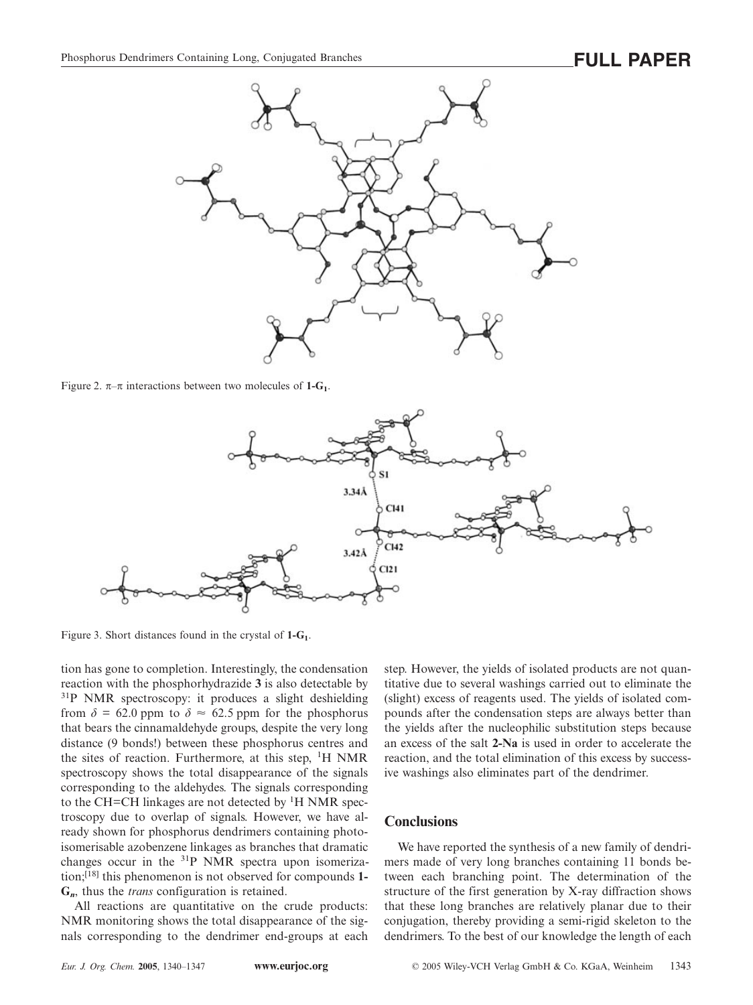

Figure 2.  $\pi-\pi$  interactions between two molecules of **1-G**<sub>1</sub>.



Figure 3. Short distances found in the crystal of **1-G1**.

tion has gone to completion. Interestingly, the condensation reaction with the phosphorhydrazide **3** is also detectable by <sup>31</sup>P NMR spectroscopy: it produces a slight deshielding from  $\delta = 62.0$  ppm to  $\delta \approx 62.5$  ppm for the phosphorus that bears the cinnamaldehyde groups, despite the very long distance (9 bonds!) between these phosphorus centres and the sites of reaction. Furthermore, at this step, <sup>1</sup>H NMR spectroscopy shows the total disappearance of the signals corresponding to the aldehydes. The signals corresponding to the CH=CH linkages are not detected by <sup>1</sup>H NMR spectroscopy due to overlap of signals. However, we have already shown for phosphorus dendrimers containing photoisomerisable azobenzene linkages as branches that dramatic changes occur in the 31P NMR spectra upon isomerization;[18] this phenomenon is not observed for compounds **1- G***n*, thus the *trans* configuration is retained.

All reactions are quantitative on the crude products: NMR monitoring shows the total disappearance of the signals corresponding to the dendrimer end-groups at each step. However, the yields of isolated products are not quantitative due to several washings carried out to eliminate the (slight) excess of reagents used. The yields of isolated compounds after the condensation steps are always better than the yields after the nucleophilic substitution steps because an excess of the salt **2-Na** is used in order to accelerate the reaction, and the total elimination of this excess by successive washings also eliminates part of the dendrimer.

### **Conclusions**

We have reported the synthesis of a new family of dendrimers made of very long branches containing 11 bonds between each branching point. The determination of the structure of the first generation by X-ray diffraction shows that these long branches are relatively planar due to their conjugation, thereby providing a semi-rigid skeleton to the dendrimers. To the best of our knowledge the length of each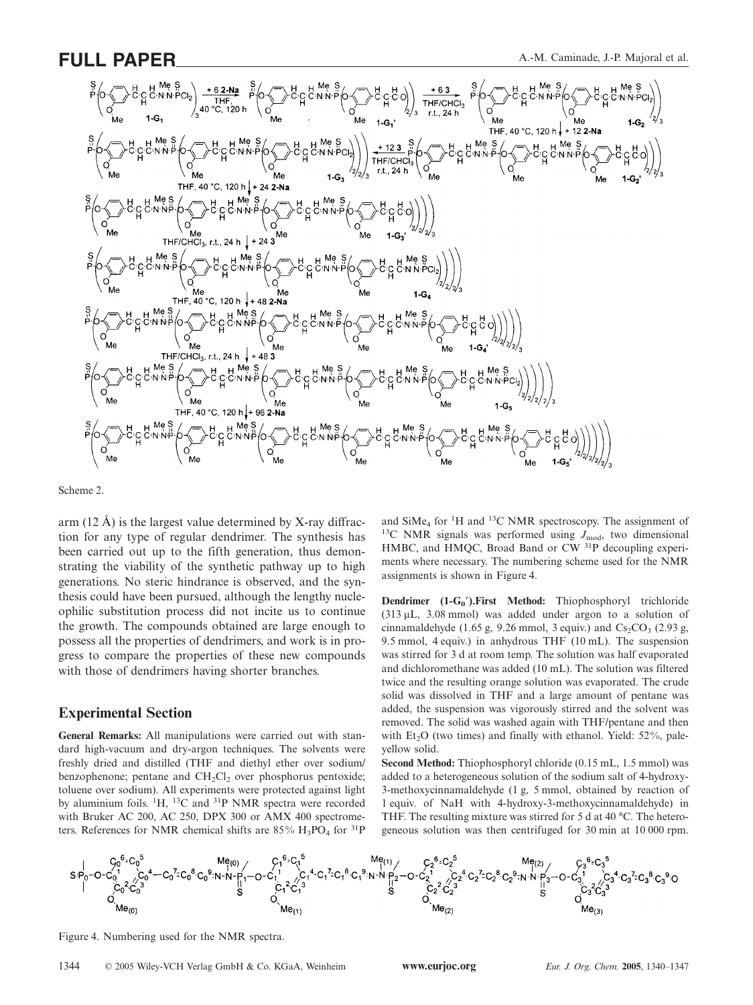

Scheme 2.

arm  $(12 \text{ Å})$  is the largest value determined by X-ray diffraction for any type of regular dendrimer. The synthesis has been carried out up to the fifth generation, thus demonstrating the viability of the synthetic pathway up to high generations. No steric hindrance is observed, and the synthesis could have been pursued, although the lengthy nucleophilic substitution process did not incite us to continue the growth. The compounds obtained are large enough to possess all the properties of dendrimers, and work is in progress to compare the properties of these new compounds with those of dendrimers having shorter branches.

### **Experimental Section**

**General Remarks:** All manipulations were carried out with standard high-vacuum and dry-argon techniques. The solvents were freshly dried and distilled (THF and diethyl ether over sodium/ benzophenone; pentane and  $CH<sub>2</sub>Cl<sub>2</sub>$  over phosphorus pentoxide; toluene over sodium). All experiments were protected against light by aluminium foils.  ${}^{1}H$ ,  ${}^{13}C$  and  ${}^{31}P$  NMR spectra were recorded with Bruker AC 200, AC 250, DPX 300 or AMX 400 spectrometers. References for NMR chemical shifts are  $85\%$  H<sub>3</sub>PO<sub>4</sub> for <sup>31</sup>P

and  $\text{SiMe}_4$  for <sup>1</sup>H and <sup>13</sup>C NMR spectroscopy. The assignment of <sup>13</sup>C NMR signals was performed using  $J_{\text{mod}}$ , two dimensional HMBC, and HMQC, Broad Band or CW 31P decoupling experiments where necessary. The numbering scheme used for the NMR assignments is shown in Figure 4.

**Dendrimer** (1-G<sub>0</sub>'). First Method: Thiophosphoryl trichloride (313 μL, 3.08 mmol) was added under argon to a solution of cinnamaldehyde (1.65 g, 9.26 mmol, 3 equiv.) and  $Cs_2CO_3$  (2.93 g, 9.5 mmol, 4 equiv.) in anhydrous THF (10 mL). The suspension was stirred for 3 d at room temp. The solution was half evaporated and dichloromethane was added (10 mL). The solution was filtered twice and the resulting orange solution was evaporated. The crude solid was dissolved in THF and a large amount of pentane was added, the suspension was vigorously stirred and the solvent was removed. The solid was washed again with THF/pentane and then with  $Et<sub>2</sub>O$  (two times) and finally with ethanol. Yield: 52%, paleyellow solid.

**Second Method:** Thiophosphoryl chloride (0.15 mL, 1.5 mmol) was added to a heterogeneous solution of the sodium salt of 4-hydroxy-3-methoxycinnamaldehyde (1 g, 5 mmol, obtained by reaction of 1 equiv. of NaH with 4-hydroxy-3-methoxycinnamaldehyde) in THF. The resulting mixture was stirred for 5 d at 40 °C. The heterogeneous solution was then centrifuged for 30 min at 10 000 rpm.



Figure 4. Numbering used for the NMR spectra.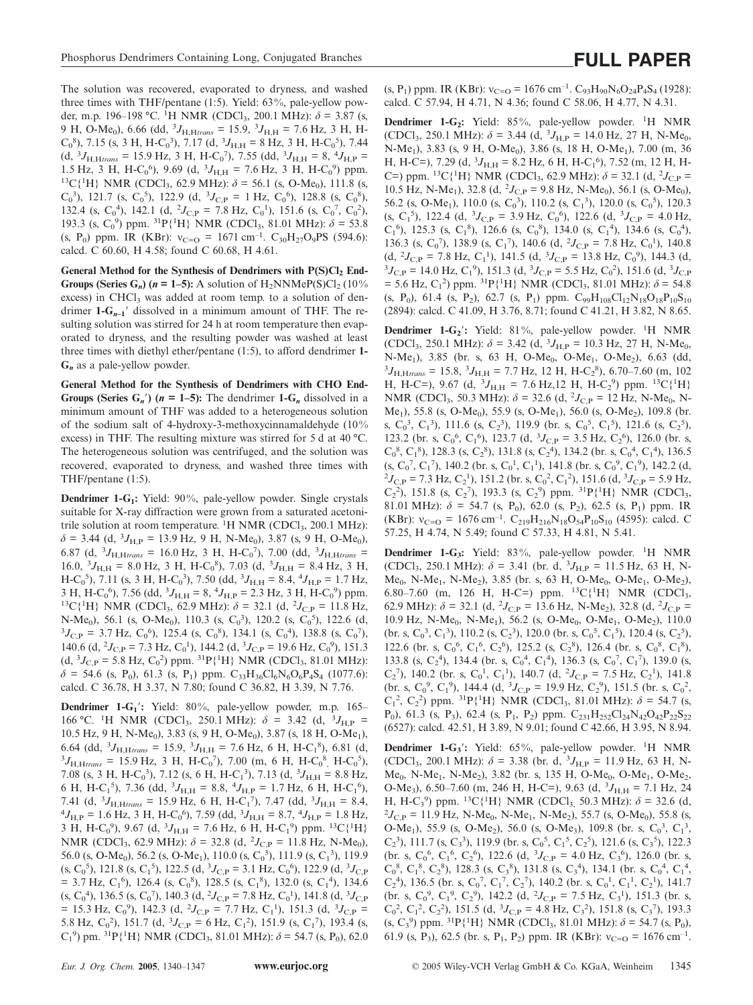The solution was recovered, evaporated to dryness, and washed three times with THF/pentane (1:5). Yield: 63%, pale-yellow powder, m.p. 196–198 °C. <sup>1</sup>H NMR (CDCl<sub>3</sub>, 200.1 MHz):  $\delta$  = 3.87 (s, 9 H, O-Me<sub>0</sub>), 6.66 (dd, <sup>3</sup> $J_{\text{H,Htrans}}$  = 15.9, <sup>3</sup> $J_{\text{H,H}}$  = 7.6 Hz, 3 H, H- $C_0^8$ ), 7.15 (s, 3 H, H-C<sub>0</sub><sup>3</sup>), 7.17 (d, <sup>3</sup> $J_{H,H}$  = 8 Hz, 3 H, H-C<sub>0</sub><sup>5</sup>), 7.44  $(d, {}^{3}J_{\text{H,Htrans}} = 15.9 \text{ Hz}, 3 \text{ H}, \text{H-C}_0^{\degree}$ ), 7.55 (dd,  ${}^{3}J_{\text{H,H}} = 8, {}^{4}J_{\text{H,P}} =$ 1.5 Hz, 3 H, H-C<sub>0</sub><sup>6</sup>), 9.69 (d, <sup>3</sup> $J_{H,H}$  = 7.6 Hz, 3 H, H-C<sub>0</sub><sup>9</sup>) ppm. <sup>13</sup>C{<sup>1</sup>H} NMR (CDCl<sub>3</sub>, 62.9 MHz):  $\delta$  = 56.1 (s, O-Me<sub>0</sub>), 111.8 (s,  $C_0^3$ ), 121.7 (s,  $C_0^5$ ), 122.9 (d,  ${}^3J_{C,P} = 1$  Hz,  $C_0^6$ ), 128.8 (s,  $C_0^8$ ), 132.4 (s, C<sub>0</sub><sup>4</sup>), 142.1 (d, <sup>2</sup>J<sub>C,P</sub> = 7.8 Hz, C<sub>0</sub><sup>1</sup>), 151.6 (s, C<sub>0</sub><sup>7</sup>, C<sub>0</sub><sup>2</sup>), 193.3 (s,  $C_0^9$ ) ppm. <sup>31</sup>P{<sup>1</sup>H} NMR (CDCl<sub>3</sub>, 81.01 MHz):  $\delta$  = 53.8 (s, P<sub>0</sub>) ppm. IR (KBr):  $v_{C=O} = 1671 \text{ cm}^{-1}$ . C<sub>30</sub>H<sub>27</sub>O<sub>9</sub>PS (594.6): calcd. C 60.60, H 4.58; found C 60.68, H 4.61.

General Method for the Synthesis of Dendrimers with P(S)Cl<sub>2</sub> End-**Groups (Series G<sub>n</sub>) (** $n = 1-5$ **):** A solution of H<sub>2</sub>NNMeP(S)Cl<sub>2</sub> (10% excess) in CHCl<sub>3</sub> was added at room temp. to a solution of dendrimer  $1 - G_{n-1}$ <sup>'</sup> dissolved in a minimum amount of THF. The resulting solution was stirred for 24 h at room temperature then evaporated to dryness, and the resulting powder was washed at least three times with diethyl ether/pentane (1:5), to afford dendrimer **1- G***<sup>n</sup>* as a pale-yellow powder.

**General Method for the Synthesis of Dendrimers with CHO End-Groups (Series G**<sub>*n*</sub><sup> $\prime$ </sup>) ( $n = 1-5$ ): The dendrimer  $1-G_n$  dissolved in a minimum amount of THF was added to a heterogeneous solution of the sodium salt of 4-hydroxy-3-methoxycinnamaldehyde (10% excess) in THF. The resulting mixture was stirred for 5 d at 40 °C. The heterogeneous solution was centrifuged, and the solution was recovered, evaporated to dryness, and washed three times with THF/pentane (1:5).

**Dendrimer 1-G<sub>1</sub>:** Yield: 90%, pale-yellow powder. Single crystals suitable for X-ray diffraction were grown from a saturated acetonitrile solution at room temperature. <sup>1</sup>H NMR (CDCl<sub>3</sub>, 200.1 MHz):  $\delta$  = 3.44 (d, <sup>3</sup> $J_{\text{H,P}}$  = 13.9 Hz, 9 H, N-Me<sub>0</sub>), 3.87 (s, 9 H, O-Me<sub>0</sub>), 6.87 (d,  ${}^{3}J_{\text{H,Htrans}}$  = 16.0 Hz, 3 H, H-C<sub>0</sub><sup>7</sup>), 7.00 (dd,  ${}^{3}J_{\text{H,Htrans}}$  =  $16.0, \, 3J_{\text{H,H}} = 8.0 \text{ Hz}, \, 3 \text{ H}, \, \text{H-C}_0^8$ ), 7.03 (d,  $3J_{\text{H,H}} = 8.4 \text{ Hz}, \, 3 \text{ H}, \,$  $H-C_0^{\ 5}$ ), 7.11 (s, 3 H,  $H-C_0^{\ 3}$ ), 7.50 (dd,  ${}^3J_{H,H} = 8.4, {}^4J_{H,P} = 1.7$  Hz, 3 H, H-C<sub>0</sub><sup>6</sup>), 7.56 (dd, <sup>3</sup>J<sub>H,H</sub> = 8, <sup>4</sup>J<sub>H,P</sub> = 2.3 Hz, 3 H, H-C<sub>0</sub><sup>9</sup>) ppm. <sup>13</sup>C{<sup>1</sup>H} NMR (CDCl<sub>3</sub>, 62.9 MHz):  $\delta = 32.1$  (d, <sup>2</sup>J<sub>C,P</sub> = 11.8 Hz, N-Me<sub>0</sub>), 56.1 (s, O-Me<sub>0</sub>), 110.3 (s, C<sub>0</sub><sup>3</sup>), 120.2 (s, C<sub>0</sub><sup>5</sup>), 122.6 (d,  ${}^{3}J_{\text{C,P}} = 3.7 \text{ Hz}, \text{ C}_0^{\text{6}}$ , 125.4 (s, C<sub>0</sub><sup>8</sup>), 134.1 (s, C<sub>0</sub><sup>4</sup>), 138.8 (s, C<sub>0</sub><sup>7</sup>), 140.6 (d,  $^2J_{\text{C,P}} = 7.3 \text{ Hz}, \text{C}_0^1$ ), 144.2 (d,  $^3J_{\text{C,P}} = 19.6 \text{ Hz}, \text{C}_0^9$ ), 151.3  $(d, {}^{3}J_{C,P} = 5.8 \text{ Hz}, C_0^2)$  ppm.  ${}^{31}P\{{}^{1}H\}$  NMR (CDCl<sub>3</sub>, 81.01 MHz):  $\delta$  = 54.6 (s, P<sub>0</sub>), 61.3 (s, P<sub>1</sub>) ppm. C<sub>33</sub>H<sub>36</sub>Cl<sub>6</sub>N<sub>6</sub>O<sub>6</sub>P<sub>4</sub>S<sub>4</sub> (1077.6): calcd. C 36.78, H 3.37, N 7.80; found C 36.82, H 3.39, N 7.76.

**Dendrimer 1-G<sub>1</sub><sup>'</sup>:** Yield: 80%, pale-yellow powder, m.p. 165– 166 °C. <sup>1</sup>H NMR (CDCl<sub>3</sub>, 250.1 MHz):  $\delta = 3.42$  (d, <sup>3</sup>J<sub>H,P</sub> = 10.5 Hz, 9 H, N-Me<sub>0</sub>), 3.83 (s, 9 H, O-Me<sub>0</sub>), 3.87 (s, 18 H, O-Me<sub>1</sub>), 6.64 (dd,  ${}^{3}J_{\text{H,Htrans}} = 15.9, {}^{3}J_{\text{H,H}} = 7.6 \text{ Hz}, 6 \text{ H}, \text{H-C1}^8$ ), 6.81 (d,  ${}^{3}J_{\text{H,Htrans}} = 15.9 \text{ Hz}, 3 \text{ H}, \text{H} \text{-C}_{0}^{7}$ ), 7.00 (m, 6 H, H-C<sub>0</sub><sup>8</sup>, H-C<sub>0</sub><sup>5</sup>), 7.08 (s, 3 H, H-C<sub>0</sub><sup>3</sup>), 7.12 (s, 6 H, H-C<sub>1</sub><sup>3</sup>), 7.13 (d, <sup>3</sup>J<sub>H,H</sub> = 8.8 Hz, 6 H, H-C<sub>1</sub><sup>5</sup>), 7.36 (dd, <sup>3</sup> $J_{H,H}$  = 8.8, <sup>4</sup> $J_{H,P}$  = 1.7 Hz, 6 H, H-C<sub>1</sub><sup>6</sup>), 7.41 (d,  ${}^{3}J_{\text{H,Htrans}}$  = 15.9 Hz, 6 H, H-C<sub>1</sub><sup>7</sup>), 7.47 (dd,  ${}^{3}J_{\text{H,H}}$  = 8.4,  ${}^{4}L_{\text{H}}$  = 1.6 Hz, 3 H, H-C<sub>1</sub><sup>6</sup>), 7.59 (dd,  ${}^{3}L_{\text{H}}$  = 8.7,  ${}^{4}L_{\text{H}}$  = 1.8 Hz  $J_{\text{H,P}}$  = 1.6 Hz, 3 H, H-C<sub>0</sub><sup>6</sup>), 7.59 (dd, <sup>3</sup> $J_{\text{H,H}}$  = 8.7, <sup>4</sup> $J_{\text{H,P}}$  = 1.8 Hz, 3 H, H-C<sub>0</sub><sup>9</sup>), 9.67 (d, <sup>3</sup>J<sub>H,H</sub> = 7.6 Hz, 6 H, H-C<sub>1</sub><sup>9</sup>) ppm. <sup>13</sup>C{<sup>1</sup>H} NMR (CDCl<sub>3</sub>, 62.9 MHz):  $\delta = 32.8$  (d, <sup>2</sup>J<sub>C,P</sub> = 11.8 Hz, N-Me<sub>0</sub>), 56.0 (s, O-Me<sub>0</sub>), 56.2 (s, O-Me<sub>1</sub>), 110.0 (s, C<sub>0</sub><sup>3</sup>), 111.9 (s, C<sub>1</sub><sup>3</sup>), 119.9  $(s, C_0^5)$ , 121.8  $(s, C_1^5)$ , 122.5  $(d, {}^3J_{C,P} = 3.1 \text{ Hz}, C_0^6)$ , 122.9  $(d, {}^3J_{C,P}$  $=$  3.7 Hz, C<sub>1</sub><sup>6</sup>), 126.4 (s, C<sub>0</sub><sup>8</sup>), 128.5 (s, C<sub>1</sub><sup>8</sup>), 132.0 (s, C<sub>1</sub><sup>4</sup>), 134.6  $(s, C_0^4)$ , 136.5  $(s, C_0^7)$ , 140.3  $(d, {}^2J_{C,P} = 7.8 \text{ Hz}, C_0^1)$ , 141.8  $(d, {}^3J_{C,P}$  $= 15.3$  Hz, C<sub>0</sub><sup>9</sup>), 142.3 (d, <sup>2</sup>J<sub>C,P</sub> = 7.7 Hz, C<sub>1</sub><sup>1</sup>), 151.3 (d, <sup>3</sup>J<sub>C,P</sub> = 5.8 Hz, C<sub>0</sub><sup>2</sup>), 151.7 (d, <sup>3</sup>J<sub>C,P</sub> = 6 Hz, C<sub>1</sub><sup>2</sup>), 151.9 (s, C<sub>1</sub><sup>7</sup>), 193.4 (s,  $C_1^9$ ) pm. <sup>31</sup>P{<sup>1</sup>H} NMR (CDCl<sub>3</sub>, 81.01 MHz):  $\delta$  = 54.7 (s, P<sub>0</sub>), 62.0

(s, P<sub>1</sub>) ppm. IR (KBr):  $v_{C=O} = 1676 \text{ cm}^{-1}$ . C<sub>93</sub>H<sub>90</sub>N<sub>6</sub>O<sub>24</sub>P<sub>4</sub>S<sub>4</sub> (1928): calcd. C 57.94, H 4.71, N 4.36; found C 58.06, H 4.77, N 4.31.

**Dendrimer 1-G<sub>2</sub>:** Yield: 85%, pale-yellow powder. <sup>1</sup>H NMR  $(CDCl_3, 250.1 \text{ MHz}$ :  $\delta = 3.44 \text{ (d, }^3 J_{H,P} = 14.0 \text{ Hz, } 27 \text{ H, N-Me}_0$ , N-Me<sub>1</sub>), 3.83 (s, 9 H, O-Me<sub>0</sub>), 3.86 (s, 18 H, O-Me<sub>1</sub>), 7.00 (m, 36 H, H-C=), 7.29 (d,  ${}^{3}J_{\text{H,H}}$  = 8.2 Hz, 6 H, H-C<sub>1</sub><sup>6</sup>), 7.52 (m, 12 H, H-C=) ppm. <sup>13</sup>C{<sup>1</sup>H} NMR (CDCl<sub>3</sub>, 62.9 MHz):  $\delta$  = 32.1 (d, <sup>2</sup>J<sub>C,P</sub> = 10.5 Hz, N-Me<sub>1</sub>), 32.8 (d, <sup>2</sup>J<sub>C,P</sub> = 9.8 Hz, N-Me<sub>0</sub>), 56.1 (s, O-Me<sub>0</sub>), 56.2 (s, O-Me<sub>1</sub>), 110.0 (s, C<sub>0</sub><sup>3</sup>), 110.2 (s, C<sub>1</sub><sup>3</sup>), 120.0 (s, C<sub>0</sub><sup>5</sup>), 120.3 (s, C<sub>1</sub><sup>5</sup>), 122.4 (d, <sup>3</sup> $J_{C,P}$  = 3.9 Hz, C<sub>0</sub><sup>6</sup>), 122.6 (d, <sup>3</sup> $J_{C,P}$  = 4.0 Hz,  $C_1^{\{6\}}$ , 125.3 (s,  $C_1^{\{8\}}$ ), 126.6 (s,  $C_0^{\{8\}}$ ), 134.0 (s,  $C_1^{\{4\}}$ ), 134.6 (s,  $C_0^{\{4\}}$ ), 136.3 (s, C<sub>0</sub><sup>7</sup>), 138.9 (s, C<sub>1</sub><sup>7</sup>), 140.6 (d, <sup>2</sup>J<sub>C,P</sub> = 7.8 Hz, C<sub>0</sub><sup>1</sup>), 140.8  $(d, {}^{2}J_{C,P} = 7.8 \text{ Hz}, C_1^{1}), 141.5 (d, {}^{3}J_{C,P} = 13.8 \text{ Hz}, C_0^{9}), 144.3 (d,$  ${}^{3}J_{\text{C,P}} = 14.0 \text{ Hz}, \text{ C}_1^{\text{o}}$ , 151.3 (d,  ${}^{3}J_{\text{C,P}} = 5.5 \text{ Hz}, \text{ C}_0^{\text{o}}$ ), 151.6 (d,  ${}^{3}J_{\text{C,P}}$  $=$  5.6 Hz, C<sub>1</sub><sup>2</sup>) ppm. <sup>31</sup>P{<sup>1</sup>H} NMR (CDCl<sub>3</sub>, 81.01 MHz):  $\delta$  = 54.8 (s, P<sub>0</sub>), 61.4 (s, P<sub>2</sub>), 62.7 (s, P<sub>1</sub>) ppm.  $C_{99}H_{108}C_{12}N_{18}O_{18}P_{10}S_{10}$ (2894): calcd. C 41.09, H 3.76, 8.71; found C 41.21, H 3.82, N 8.65.

**Dendrimer 1-G<sub>2</sub>':** Yield: 81%, pale-yellow powder. <sup>1</sup>H NMR  $(CDCl_3, 250.1 \text{ MHz}$ :  $\delta = 3.42 \text{ (d, }^3 J_{H,P} = 10.3 \text{ Hz, } 27 \text{ H, N-Me}_0$ , N-Me<sub>1</sub>), 3.85 (br. s, 63 H, O-Me<sub>0</sub>, O-Me<sub>1</sub>, O-Me<sub>2</sub>), 6.63 (dd,  $J_{\text{H,Htrans}} = 15.8, \,^{3} J_{\text{H,H}} = 7.7 \text{ Hz}, \, 12 \text{ H}, \, \text{H-C}_2^{\text{8}}$ ), 6.70–7.60 (m, 102) H, H-C=), 9.67 (d,  ${}^{3}J_{\text{H,H}}$  = 7.6 Hz,12 H, H-C<sub>2</sub><sup>9</sup>) ppm. <sup>13</sup>C{<sup>1</sup>H} NMR (CDCl<sub>3</sub>, 50.3 MHz):  $\delta = 32.6$  (d, <sup>2</sup>J<sub>C,P</sub> = 12 Hz, N-Me<sub>0</sub>, N-Me<sub>1</sub>), 55.8 (s, O-Me<sub>0</sub>), 55.9 (s, O-Me<sub>1</sub>), 56.0 (s, O-Me<sub>2</sub>), 109.8 (br. s,  $C_0^3$ ,  $C_1^3$ ), 111.6 (s,  $C_2^3$ ), 119.9 (br. s,  $C_0^5$ ,  $C_1^5$ ), 121.6 (s,  $C_2^5$ ), 123.2 (br. s,  $C_0^6$ ,  $C_1^6$ ), 123.7 (d,  ${}^3J_{C,P} = 3.5$  Hz,  $C_2^6$ ), 126.0 (br. s,  $C_0^8$ ,  $C_1^8$ ), 128.3 (s,  $C_2^8$ ), 131.8 (s,  $C_2^4$ ), 134.2 (br. s,  $C_0^4$ ,  $C_1^4$ ), 136.5  $(s, C_0^7, C_1^7)$ , 140.2 (br. s,  $C_0^1, C_1^1$ ), 141.8 (br. s,  $C_0^9, C_1^9$ ), 142.2 (d,  ${}^{2}J_{\text{C,P}}$  = 7.3 Hz, C<sub>2</sub><sup>1</sup>), 151.2 (br. s, C<sub>0</sub><sup>2</sup>, C<sub>1</sub><sup>2</sup>), 151.6 (d, <sup>3</sup> $J_{\text{C,P}}$  = 5.9 Hz,  $C_2^2$ ), 151.8 (s,  $C_2^7$ ), 193.3 (s,  $C_2^9$ ) ppm. <sup>31</sup>P{<sup>1</sup>H} NMR (CDCl<sub>3</sub>, 81.01 MHz):  $\delta = 54.7$  (s, P<sub>0</sub>), 62.0 (s, P<sub>2</sub>), 62.5 (s, P<sub>1</sub>) ppm. IR (KBr):  $v_{C=O} = 1676 \text{ cm}^{-1}$ .  $C_{219}H_{216}N_{18}O_{54}P_{10}S_{10}$  (4595): calcd. C 57.25, H 4.74, N 5.49; found C 57.33, H 4.81, N 5.41.

Dendrimer 1-G<sub>3</sub>: Yield: 83%, pale-yellow powder. <sup>1</sup>H NMR (CDCl<sub>3</sub>, 250.1 MHz):  $\delta = 3.41$  (br. d,  $^{3}J_{\text{H,P}} = 11.5$  Hz, 63 H, N- $Me<sub>0</sub>$ , N-Me<sub>1</sub>, N-Me<sub>2</sub>), 3.85 (br. s, 63 H, O-Me<sub>0</sub>, O-Me<sub>1</sub>, O-Me<sub>2</sub>), 6.80–7.60 (m, 126 H, H-C=) ppm.  ${}^{13}C(^{1}H)$  NMR (CDCl<sub>3</sub>, 62.9 MHz):  $\delta = 32.1$  (d,  ${}^{2}J_{C,P} = 13.6$  Hz, N-Me<sub>2</sub>), 32.8 (d,  ${}^{2}J_{C,P} =$ 10.9 Hz, N-Me<sub>0</sub>, N-Me<sub>1</sub>), 56.2 (s, O-Me<sub>0</sub>, O-Me<sub>1</sub>, O-Me<sub>2</sub>), 110.0  ${\rm (br. s, C<sub>0</sub><sup>3</sup>, C<sub>1</sub><sup>3</sup>), 110.2 (s, C<sub>2</sub><sup>3</sup>), 120.0 (br. s, C<sub>0</sub><sup>5</sup>, C<sub>1</sub><sup>5</sup>), 120.4 (s, C<sub>2</sub><sup>5</sup>),}$ 122.6 (br. s,  $C_0^6$ ,  $C_1^6$ ,  $C_2^6$ ), 125.2 (s,  $C_2^8$ ), 126.4 (br. s,  $C_0^8$ ,  $C_1^8$ ), 133.8 (s,  $C_2^4$ ), 134.4 (br. s,  $C_0^4$ ,  $C_1^4$ ), 136.3 (s,  $C_0^7$ ,  $C_1^7$ ), 139.0 (s,  $C_2$ <sup>7</sup>), 140.2 (br. s,  $C_0$ <sup>1</sup>,  $C_1$ <sup>1</sup>), 140.7 (d, <sup>2</sup> $J_{C,P}$  = 7.5 Hz,  $C_2$ <sup>1</sup>), 141.8 (br. s, C<sub>0</sub><sup>9</sup>, C<sub>1</sub><sup>9</sup>), 144.4 (d, <sup>3</sup>*J*<sub>C,P</sub> = 19.9 Hz, C<sub>2</sub><sup>9</sup>), 151.5 (br. s, C<sub>0</sub><sup>2</sup>,  $C_1^2$ ,  $C_2^2$ ) ppm. <sup>31</sup>P{<sup>1</sup>H} NMR (CDCl<sub>3</sub>, 81.01 MHz):  $\delta$  = 54.7 (s, P<sub>0</sub>), 61.3 (s, P<sub>3</sub>), 62.4 (s, P<sub>1</sub>, P<sub>2</sub>) ppm. C<sub>231</sub>H<sub>252</sub>Cl<sub>24</sub>N<sub>42</sub>O<sub>42</sub>P<sub>22</sub>S<sub>22</sub> (6527): calcd. 42.51, H 3.89, N 9.01; found C 42.66, H 3.95, N 8.94.

**Dendrimer 1-G<sub>3</sub>':** Yield: 65%, pale-yellow powder. <sup>1</sup>H NMR (CDCl<sub>3</sub>, 200.1 MHz):  $\delta = 3.38$  (br. d,  $^{3}J_{\text{H,P}} = 11.9$  Hz, 63 H, N-Me<sub>0</sub>, N-Me<sub>1</sub>, N-Me<sub>2</sub>), 3.82 (br. s, 135 H, O-Me<sub>0</sub>, O-Me<sub>1</sub>, O-Me<sub>2</sub>, O-Me<sub>3</sub>), 6.50–7.60 (m, 246 H, H-C=), 9.63 (d, <sup>3</sup>J<sub>H,H</sub> = 7.1 Hz, 24 H, H-C<sub>3</sub><sup>9</sup>) ppm. <sup>13</sup>C{<sup>1</sup>H} NMR (CDCl<sub>3</sub>, 50.3 MHz):  $\delta$  = 32.6 (d, 2<sub>L-c</sub> = 11.9 Hz, N-Me<sub>c</sub>, N-Me<sub>c</sub>, N-Me<sub>c</sub>), 55.7 (s, O-Me<sub>c</sub>), 55.8 (s  $^{2}J_{\text{C,P}}$  = 11.9 Hz, N-Me<sub>0</sub>, N-Me<sub>1</sub>, N-Me<sub>2</sub>), 55.7 (s, O-Me<sub>0</sub>), 55.8 (s, O-Me<sub>1</sub>), 55.9 (s, O-Me<sub>2</sub>), 56.0 (s, O-Me<sub>3</sub>), 109.8 (br. s, C<sub>0</sub><sup>3</sup>, C<sub>1</sub><sup>3</sup>,  $C_2$ <sup>3</sup>), 111.7 (s,  $C_3$ <sup>3</sup>), 119.9 (br. s,  $C_0$ <sup>5</sup>,  $C_1$ <sup>5</sup>,  $C_2$ <sup>5</sup>), 121.6 (s,  $C_3$ <sup>5</sup>), 122.3 (br. s,  $C_0^6$ ,  $C_1^6$ ,  $C_2^6$ ), 122.6 (d,  ${}^3J_{C,P} = 4.0$  Hz,  $C_3^6$ ), 126.0 (br. s,  $C_0^8$ ,  $C_1^8$ ,  $C_2^8$ ), 128.3 (s,  $C_3^8$ ), 131.8 (s,  $C_3^4$ ), 134.1 (br. s,  $C_0^4$ ,  $C_1^4$ ,  $C_2^4$ ), 136.5 (br. s,  $C_0^7$ ,  $C_1^7$ ,  $C_2^7$ ), 140.2 (br. s,  $C_0^1$ ,  $C_1^1$ ,  $C_2^1$ ), 141.7 (br. s, C<sub>0</sub><sup>9</sup>, C<sub>1</sub><sup>9</sup>, C<sub>2</sub><sup>9</sup>), 142.2 (d, <sup>2</sup>J<sub>C,P</sub> = 7.5 Hz, C<sub>3</sub><sup>1</sup>), 151.3 (br. s,  $C_0^2$ ,  $C_1^2$ ,  $C_2^2$ ), 151.5 (d,  ${}^3J_{C,P} = 4.8$  Hz,  $C_3^2$ ), 151.8 (s,  $C_3^7$ ), 193.3  $(s, C_3^9)$  ppm. <sup>31</sup>P{<sup>1</sup>H} NMR (CDCl<sub>3</sub>, 81.01 MHz):  $\delta$  = 54.7 (s, P<sub>0</sub>), 61.9 (s, P<sub>3</sub>), 62.5 (br. s, P<sub>1</sub>, P<sub>2</sub>) ppm. IR (KBr):  $v_{C=O} = 1676$  cm<sup>-1</sup>.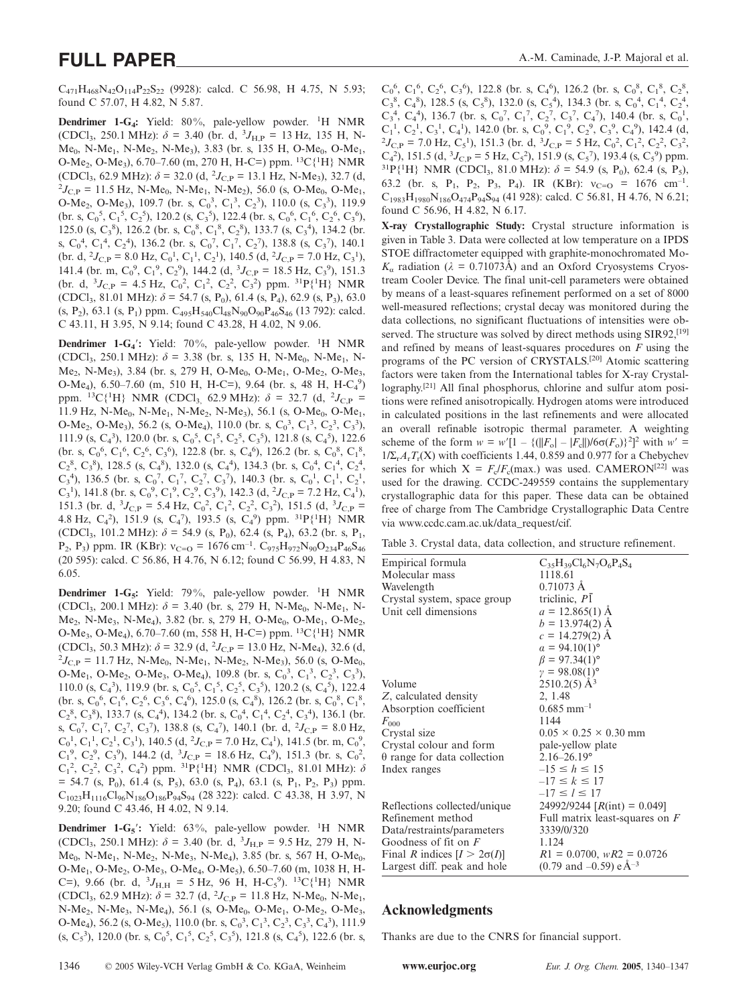$C_{471}H_{468}N_{42}O_{114}P_{22}S_{22}$  (9928): calcd. C 56.98, H 4.75, N 5.93; found C 57.07, H 4.82, N 5.87.

Dendrimer 1-G<sub>4</sub>: Yield: 80%, pale-yellow powder. <sup>1</sup>H NMR (CDCl<sub>3</sub>, 250.1 MHz):  $\delta = 3.40$  (br. d, <sup>3</sup>J<sub>H,P</sub> = 13 Hz, 135 H, N- $Me<sub>0</sub>$ , N-Me<sub>1</sub>, N-Me<sub>2</sub>, N-Me<sub>3</sub>), 3.83 (br. s, 135 H, O-Me<sub>0</sub>, O-Me<sub>1</sub>, O-Me<sub>2</sub>, O-Me<sub>3</sub>), 6.70–7.60 (m, 270 H, H-C=) ppm. <sup>13</sup>C{<sup>1</sup>H} NMR (CDCl<sub>3</sub>, 62.9 MHz):  $\delta = 32.0$  (d, <sup>2</sup>J<sub>C,P</sub> = 13.1 Hz, N-Me<sub>3</sub>), 32.7 (d, <sup>2</sup>J<sub>C,P</sub> = 11.5 Hz, N-Me<sub>3</sub>, N-Me<sub>3</sub>, D-Me<sub>3</sub>, O-Me<sub>3</sub>  ${}^{2}J_{\text{CP}}$  = 11.5 Hz, N-Me<sub>0</sub>, N-Me<sub>1</sub>, N-Me<sub>2</sub>), 56.0 (s, O-Me<sub>0</sub>, O-Me<sub>1</sub>, O-Me<sub>2</sub>, O-Me<sub>3</sub>), 109.7 (br. s, C<sub>0</sub><sup>3</sup>, C<sub>1</sub><sup>3</sup>, C<sub>2</sub><sup>3</sup>), 110.0 (s, C<sub>3</sub><sup>3</sup>), 119.9  $\text{(br. s, } C_0^5, C_1^5, C_2^5), 120.2 \text{ (s, } C_3^5), 122.4 \text{ (br. s, } C_0^6, C_1^6, C_2^6, C_3^6),$ 125.0 (s,  $C_3^8$ ), 126.2 (br. s,  $C_0^8$ ,  $C_1^8$ ,  $C_2^8$ ), 133.7 (s,  $C_3^4$ ), 134.2 (br. s,  $C_0^4$ ,  $C_1^4$ ,  $C_2^4$ ), 136.2 (br. s,  $C_0^7$ ,  $C_1^7$ ,  $C_2^7$ ), 138.8 (s,  $C_3^7$ ), 140.1 (br. d,  $^2J_{\text{C,P}} = 8.0 \text{ Hz}, \text{C}_0^1, \text{C}_1^1, \text{C}_2^1$ ), 140.5 (d,  $^2J_{\text{C,P}} = 7.0 \text{ Hz}, \text{C}_3^1$ ), 141.4 (br. m,  $C_0^9$ ,  $C_1^9$ ,  $C_2^9$ ), 144.2 (d,  ${}^3J_{C,P} = 18.5$  Hz,  $C_3^9$ ), 151.3 (br. d,  ${}^{3}J_{C,P} = 4.5$  Hz,  $C_0^2$ ,  $C_1^2$ ,  $C_2^2$ ,  $C_3^2$ ) ppm.  ${}^{31}P\{{}^{1}H\}$  NMR (CDCl<sub>3</sub>, 81.01 MHz):  $\delta$  = 54.7 (s, P<sub>0</sub>), 61.4 (s, P<sub>4</sub>), 62.9 (s, P<sub>3</sub>), 63.0  $(s, P_2)$ , 63.1  $(s, P_1)$  ppm.  $C_{495}H_{540}Cl_{48}N_{90}O_{90}P_{46}S_{46}$  (13 792): calcd. C 43.11, H 3.95, N 9.14; found C 43.28, H 4.02, N 9.06.

**Dendrimer 1-G<sub>4</sub>':** Yield: 70%, pale-yellow powder. <sup>1</sup>H NMR (CDCl<sub>3</sub>, 250.1 MHz):  $\delta$  = 3.38 (br. s, 135 H, N-Me<sub>0</sub>, N-Me<sub>1</sub>, N- $Me<sub>2</sub>$ , N-Me<sub>3</sub>), 3.84 (br. s, 279 H, O-Me<sub>0</sub>, O-Me<sub>1</sub>, O-Me<sub>2</sub>, O-Me<sub>3</sub>, O-Me<sub>4</sub>), 6.50-7.60 (m, 510 H, H-C=), 9.64 (br. s, 48 H, H-C<sub>4</sub><sup>9</sup>) ppm. <sup>13</sup>C{<sup>1</sup>H} NMR (CDCl<sub>3,</sub> 62.9 MHz):  $\delta = 32.7$  (d, <sup>2</sup>J<sub>C,P</sub> = 11.9 Hz, N-Me<sub>0</sub>, N-Me<sub>1</sub>, N-Me<sub>2</sub>, N-Me<sub>3</sub>), 56.1 (s, O-Me<sub>0</sub>, O-Me<sub>1</sub>, O-Me<sub>2</sub>, O-Me<sub>3</sub>), 56.2 (s, O-Me<sub>4</sub>), 110.0 (br. s, C<sub>0</sub><sup>3</sup>, C<sub>1</sub><sup>3</sup>, C<sub>2</sub><sup>3</sup>, C<sub>3</sub><sup>3</sup>), 111.9 (s, C<sub>4</sub><sup>3</sup>), 120.0 (br. s, C<sub>0</sub><sup>5</sup>, C<sub>1</sub><sup>5</sup>, C<sub>2</sub><sup>5</sup>, C<sub>3</sub><sup>5</sup>), 121.8 (s, C<sub>4</sub><sup>5</sup>), 122.6 (br. s,  $C_0^6$ ,  $C_1^6$ ,  $C_2^6$ ,  $C_3^6$ ), 122.8 (br. s,  $C_4^6$ ), 126.2 (br. s,  $C_0^8$ ,  $C_1^8$ ,  $C_2^8$ ,  $C_3^8$ ), 128.5 (s,  $C_4^8$ ), 132.0 (s,  $C_4^4$ ), 134.3 (br. s,  $C_0^4$ ,  $C_1^4$ ,  $C_2^4$ ,  $C_3^4$ ), 136.5 (br. s,  $C_0^7$ ,  $C_1^7$ ,  $C_2^7$ ,  $C_3^7$ ), 140.3 (br. s,  $C_0^1$ ,  $C_1^1$ ,  $C_2^1$ , C<sub>3</sub><sup>1</sup>), 141.8 (br. s, C<sub>0</sub><sup>9</sup>, C<sub>1</sub><sup>9</sup>, C<sub>2</sub><sup>9</sup>, C<sub>3</sub><sup>9</sup>), 142.3 (d, <sup>2</sup>J<sub>C,P</sub> = 7.2 Hz, C<sub>4</sub><sup>1</sup>), 151.3 (br. d,  ${}^{3}J_{C,P} = 5.4$  Hz,  $C_0^2$ ,  $C_1^2$ ,  $C_2^2$ ,  $C_3^2$ ), 151.5 (d,  ${}^{3}J_{C,P} =$ 4.8 Hz,  $C_4^2$ ), 151.9 (s,  $C_4^7$ ), 193.5 (s,  $C_4^9$ ) ppm. <sup>31</sup>P{<sup>1</sup>H} NMR (CDCl<sub>3</sub>, 101.2 MHz):  $\delta$  = 54.9 (s, P<sub>0</sub>), 62.4 (s, P<sub>4</sub>), 63.2 (br. s, P<sub>1</sub>, P<sub>2</sub>, P<sub>3</sub>) ppm. IR (KBr):  $v_{C=O} = 1676$  cm<sup>-1</sup>. C<sub>975</sub>H<sub>972</sub>N<sub>90</sub>O<sub>234</sub>P<sub>46</sub>S<sub>46</sub> (20 595): calcd. C 56.86, H 4.76, N 6.12; found C 56.99, H 4.83, N 6.05.

Dendrimer 1-G<sub>5</sub>: Yield: 79%, pale-yellow powder. <sup>1</sup>H NMR (CDCl<sub>3</sub>, 200.1 MHz):  $\delta$  = 3.40 (br. s, 279 H, N-Me<sub>0</sub>, N-Me<sub>1</sub>, N- $Me_2$ , N-Me<sub>3</sub>, N-Me<sub>4</sub>), 3.82 (br. s, 279 H, O-Me<sub>0</sub>, O-Me<sub>1</sub>, O-Me<sub>2</sub>, O-Me<sub>3</sub>, O-Me<sub>4</sub>), 6.70–7.60 (m, 558 H, H-C=) ppm. <sup>13</sup>C{<sup>1</sup>H} NMR (CDCl<sub>3</sub>, 50.3 MHz):  $\delta = 32.9$  (d, <sup>2</sup>J<sub>C,P</sub> = 13.0 Hz, N-Me<sub>4</sub>), 32.6 (d, 2<sub>Jc,P</sub> = 11.7 Hz, N-Me<sub>2</sub>), Me<sub>2</sub>, N-Me<sub>2</sub>), 56.0 (s, O-Me<sub>3</sub>)  $^{2}J_{\text{C,P}}$  = 11.7 Hz, N-Me<sub>0</sub>, N-Me<sub>1</sub>, N-Me<sub>2</sub>, N-Me<sub>3</sub>), 56.0 (s, O-Me<sub>0</sub>, O-Me<sub>1</sub>, O-Me<sub>2</sub>, O-Me<sub>3</sub>, O-Me<sub>4</sub>), 109.8 (br. s,  $C_0^3$ ,  $C_1^3$ ,  $C_2^3$ ,  $C_3^3$ ), 110.0 (s, C<sub>4</sub><sup>3</sup>), 119.9 (br. s, C<sub>0</sub><sup>5</sup>, C<sub>1</sub><sup>5</sup>, C<sub>2</sub><sup>5</sup>, C<sub>3</sub><sup>5</sup>), 120.2 (s, C<sub>4</sub><sup>5</sup>), 122.4  $\rm (br. s, C<sub>0</sub><sup>6</sup>, C<sub>1</sub><sup>6</sup>, C<sub>2</sub><sup>6</sup>, C<sub>3</sub><sup>6</sup>, C<sub>4</sub><sup>6</sup>), 125.0 (s, C<sub>4</sub><sup>8</sup>), 126.2 (br. s, C<sub>0</sub><sup>8</sup>, C<sub>1</sub><sup>8</sup>),$  $C_2^8$ ,  $C_3^8$ ), 133.7 (s,  $C_4^4$ ), 134.2 (br. s,  $C_0^4$ ,  $C_1^4$ ,  $C_2^4$ ,  $C_3^4$ ), 136.1 (br. s,  $C_0^7$ ,  $C_1^7$ ,  $C_2^7$ ,  $C_3^7$ ), 138.8 (s,  $C_4^7$ ), 140.1 (br. d,  $^2J_{C,P} = 8.0$  Hz,  $C_0^1$ ,  $C_1^1$ ,  $C_2^1$ ,  $C_3^1$ ), 140.5 (d,  $^2J_{C,P} = 7.0$  Hz,  $C_4^1$ ), 141.5 (br. m,  $C_0^9$ ,  $C_1^9$ ,  $C_2^9$ ,  $C_3^9$ ), 144.2 (d,  ${}^3J_{C,P} = 18.6$  Hz,  $C_4^9$ ), 151.3 (br. s,  $C_0^2$ ,  $C_1^2$ ,  $C_2^2$ ,  $C_3^2$ ,  $C_4^2$ ) ppm. <sup>31</sup>P{<sup>1</sup>H} NMR (CDCl<sub>3</sub>, 81.01 MHz):  $\delta$  $= 54.7$  (s, P<sub>0</sub>), 61.4 (s, P<sub>5</sub>), 63.0 (s, P<sub>4</sub>), 63.1 (s, P<sub>1</sub>, P<sub>2</sub>, P<sub>3</sub>) ppm. C1023H1116Cl96N186O186P94S94 (28 322): calcd. C 43.38, H 3.97, N 9.20; found C 43.46, H 4.02, N 9.14.

**Dendrimer 1-G<sub>5</sub>**: Yield: 63%, pale-yellow powder. <sup>1</sup>H NMR (CDCl<sub>3</sub>, 250.1 MHz):  $\delta = 3.40$  (br. d,  $^{3}J_{\text{H,P}} = 9.5$  Hz, 279 H, N-Me<sub>0</sub>, N-Me<sub>1</sub>, N-Me<sub>2</sub>, N-Me<sub>3</sub>, N-Me<sub>4</sub>), 3.85 (br. s, 567 H, O-Me<sub>0</sub>, O-Me<sub>1</sub>, O-Me<sub>2</sub>, O-Me<sub>3</sub>, O-Me<sub>4</sub>, O-Me<sub>5</sub>), 6.50–7.60 (m, 1038 H, H-C=), 9.66 (br. d,  ${}^{3}J_{\text{H,H}} = 5 \text{ Hz}$ , 96 H, H-C<sub>5</sub><sup>9</sup>). <sup>13</sup>C{<sup>1</sup>H} NMR  $(CDCl_3, 62.9 MHz): \delta = 32.7 (d, {}^2J_{C,P} = 11.8 Hz, N-Me_0, N-Me_1,$ N-Me<sub>2</sub>, N-Me<sub>3</sub>, N-Me<sub>4</sub>), 56.1 (s, O-Me<sub>0</sub>, O-Me<sub>1</sub>, O-Me<sub>2</sub>, O-Me<sub>3</sub>, O-Me<sub>4</sub>), 56.2 (s, O-Me<sub>5</sub>), 110.0 (br. s, C<sub>0</sub><sup>3</sup>, C<sub>1</sub><sup>3</sup>, C<sub>2</sub><sup>3</sup>, C<sub>3</sub><sup>3</sup>, C<sub>4</sub><sup>3</sup>), 111.9  $(s, C_5^3)$ , 120.0 (br. s,  $C_0^5$ ,  $C_1^5$ ,  $C_2^5$ ,  $C_3^5$ ), 121.8 (s,  $C_4^5$ ), 122.6 (br. s,

 $C_0^6$ ,  $C_1^6$ ,  $C_2^6$ ,  $C_3^6$ ), 122.8 (br. s,  $C_4^6$ ), 126.2 (br. s,  $C_0^8$ ,  $C_1^8$ ,  $C_2^8$ ,  $C_3^8$ ,  $C_4^8$ ), 128.5 (s,  $C_5^8$ ), 132.0 (s,  $C_5^4$ ), 134.3 (br. s,  $C_0^4$ ,  $C_1^4$ ,  $C_2^4$ ,  $C_3^4$ ,  $C_4^4$ ), 136.7 (br. s,  $C_0^7$ ,  $C_1^7$ ,  $C_2^7$ ,  $C_3^7$ ,  $C_4^7$ ), 140.4 (br. s,  $C_0^1$ ,  $C_1^1$ ,  $C_2^1$ ,  $C_3^1$ ,  $C_4^1$ ), 142.0 (br. s,  $C_0^9$ ,  $C_1^9$ ,  $C_2^9$ ,  $C_3^9$ ,  $C_4^9$ ), 142.4 (d,  ${}^{2}J_{\rm C,P}$  = 7.0 Hz, C<sub>5</sub><sup>1</sup>), 151.3 (br. d, <sup>3</sup> $J_{\rm C,P}$  = 5 Hz, C<sub>0</sub><sup>2</sup>, C<sub>1</sub><sup>2</sup>, C<sub>2</sub><sup>2</sup>, C<sub>3</sub><sup>2</sup>,  $C_4^2$ ), 151.5 (d,  ${}^3J_{C,P} = 5$  Hz,  $C_5^2$ ), 151.9 (s,  $C_5^7$ ), 193.4 (s,  $C_5^9$ ) ppm. <sup>31</sup>P{<sup>1</sup>H} NMR (CDCl<sub>3</sub>, 81.0 MHz):  $\delta$  = 54.9 (s, P<sub>0</sub>), 62.4 (s, P<sub>5</sub>), 63.2 (br. s, P<sub>1</sub>, P<sub>2</sub>, P<sub>3</sub>, P<sub>4</sub>). IR (KBr):  $v_{C=Q} = 1676$  cm<sup>-1</sup>.  $C_{1983}H_{1980}N_{186}O_{474}P_{94}S_{94}$  (41 928): calcd. C 56.81, H 4.76, N 6.21; found C 56.96, H 4.82, N 6.17.

**X-ray Crystallographic Study:** Crystal structure information is given in Table 3. Data were collected at low temperature on a IPDS STOE diffractometer equipped with graphite-monochromated Mo- $K_a$  radiation ( $\lambda = 0.71073$ Å) and an Oxford Cryosystems Cryostream Cooler Device. The final unit-cell parameters were obtained by means of a least-squares refinement performed on a set of 8000 well-measured reflections; crystal decay was monitored during the data collections, no significant fluctuations of intensities were observed. The structure was solved by direct methods using SIR92,<sup>[19]</sup> and refined by means of least-squares procedures on *F* using the programs of the PC version of CRYSTALS.[20] Atomic scattering factors were taken from the International tables for X-ray Crystallography.[21] All final phosphorus, chlorine and sulfur atom positions were refined anisotropically. Hydrogen atoms were introduced in calculated positions in the last refinements and were allocated an overall refinable isotropic thermal parameter. A weighting scheme of the form *w* = *w'*[1 – {(||*F*<sub>o</sub>| – |*F*<sub>c</sub>||)/6σ(*F*<sub>o</sub>)}<sup>2</sup>]<sup>2</sup> with *w'* =  $1/\Sigma_r A_rT_r(X)$  with coefficients 1.44, 0.859 and 0.977 for a Chebychev series for which  $X = F_c/F_c(\text{max.})$  was used. CAMERON<sup>[22]</sup> was used for the drawing. CCDC-249559 contains the supplementary crystallographic data for this paper. These data can be obtained free of charge from The Cambridge Crystallographic Data Centre via www.ccdc.cam.ac.uk/data\_request/cif.

|  |  |  |  |  |  |  |  | Table 3. Crystal data, data collection, and structure refinement. |
|--|--|--|--|--|--|--|--|-------------------------------------------------------------------|
|--|--|--|--|--|--|--|--|-------------------------------------------------------------------|

| Empirical formula<br>Molecular mass | $C_{35}H_{39}Cl_6N_7O_6P_4S_4$<br>1118.61     |
|-------------------------------------|-----------------------------------------------|
|                                     | $0.71073 \text{ Å}$                           |
| Wavelength                          |                                               |
| Crystal system, space group         | triclinic, P1                                 |
| Unit cell dimensions                | $a = 12.865(1)$ A                             |
|                                     | $b = 13.974(2)$ Å                             |
|                                     | $c = 14.279(2)$ Å                             |
|                                     | $a = 94.10(1)$ °                              |
|                                     | $\beta = 97.34(1)$ °                          |
|                                     | $\gamma = 98.08(1)$ °                         |
| Volume                              | $2510.2(5)$ Å <sup>3</sup>                    |
| Z, calculated density               | 2, 1.48                                       |
| Absorption coefficient              | $0.685$ mm <sup>-1</sup>                      |
| $F_{000}$                           | 1144                                          |
| Crystal size                        | $0.05 \times 0.25 \times 0.30$ mm             |
| Crystal colour and form             | pale-yellow plate                             |
| $\theta$ range for data collection  | $2.16 - 26.19$ °                              |
| Index ranges                        | $-15 \le h \le 15$                            |
|                                     | $-17 \le k \le 17$                            |
|                                     | $-17 \le l \le 17$                            |
| Reflections collected/unique        | 24992/9244 $[R(int) = 0.049]$                 |
| Refinement method                   | Full matrix least-squares on $F$              |
| Data/restraints/parameters          | 3339/0/320                                    |
| Goodness of fit on $F$              | 1.124                                         |
| Final R indices $[I > 2\sigma(I)]$  | $R1 = 0.0700$ , $wR2 = 0.0726$                |
| Largest diff. peak and hole         | $(0.79 \text{ and } -0.59)$ e Å <sup>-3</sup> |

## **Acknowledgments**

Thanks are due to the CNRS for financial support.